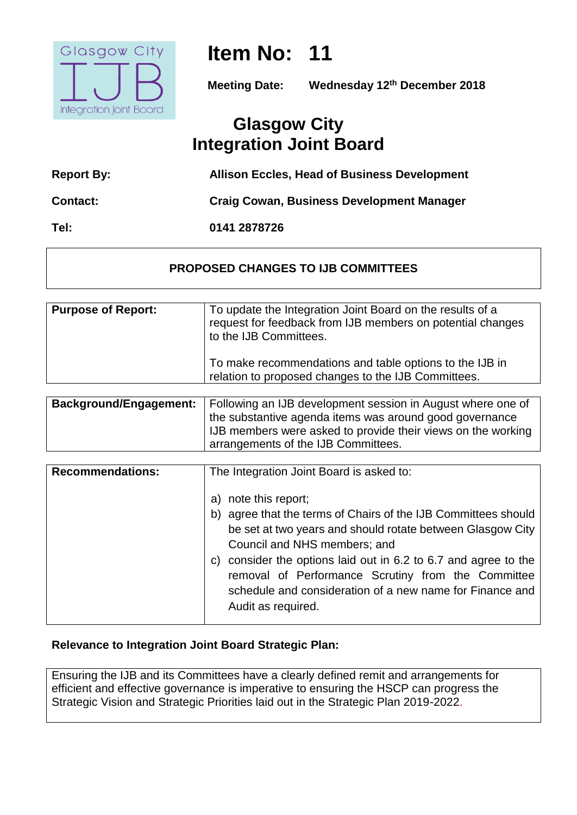

# **Item No: 11**

**Meeting Date: Wednesday 12th December 2018**

## **Glasgow City Integration Joint Board**

| <b>Report By:</b> | <b>Allison Eccles, Head of Business Development</b> |
|-------------------|-----------------------------------------------------|
| <b>Contact:</b>   | <b>Craig Cowan, Business Development Manager</b>    |
| Tel:              | 0141 2878726                                        |

#### **PROPOSED CHANGES TO IJB COMMITTEES**

| <b>Purpose of Report:</b> | To update the Integration Joint Board on the results of a<br>request for feedback from IJB members on potential changes<br>to the IJB Committees. |
|---------------------------|---------------------------------------------------------------------------------------------------------------------------------------------------|
|                           | To make recommendations and table options to the IJB in<br>relation to proposed changes to the IJB Committees.                                    |
| $\mathbf{r}$              |                                                                                                                                                   |

| <b>Background/Engagement:</b> | Following an IJB development session in August where one of                                         |
|-------------------------------|-----------------------------------------------------------------------------------------------------|
|                               | the substantive agenda items was around good governance                                             |
|                               | IJB members were asked to provide their views on the working<br>arrangements of the IJB Committees. |
|                               |                                                                                                     |

| <b>Recommendations:</b> | The Integration Joint Board is asked to:                                                                                                                                                                                                                                                                                                                                                            |
|-------------------------|-----------------------------------------------------------------------------------------------------------------------------------------------------------------------------------------------------------------------------------------------------------------------------------------------------------------------------------------------------------------------------------------------------|
|                         | a) note this report;<br>b) agree that the terms of Chairs of the IJB Committees should<br>be set at two years and should rotate between Glasgow City<br>Council and NHS members; and<br>c) consider the options laid out in $6.2$ to $6.7$ and agree to the<br>removal of Performance Scrutiny from the Committee<br>schedule and consideration of a new name for Finance and<br>Audit as required. |

#### **Relevance to Integration Joint Board Strategic Plan:**

Ensuring the IJB and its Committees have a clearly defined remit and arrangements for efficient and effective governance is imperative to ensuring the HSCP can progress the Strategic Vision and Strategic Priorities laid out in the Strategic Plan 2019-2022.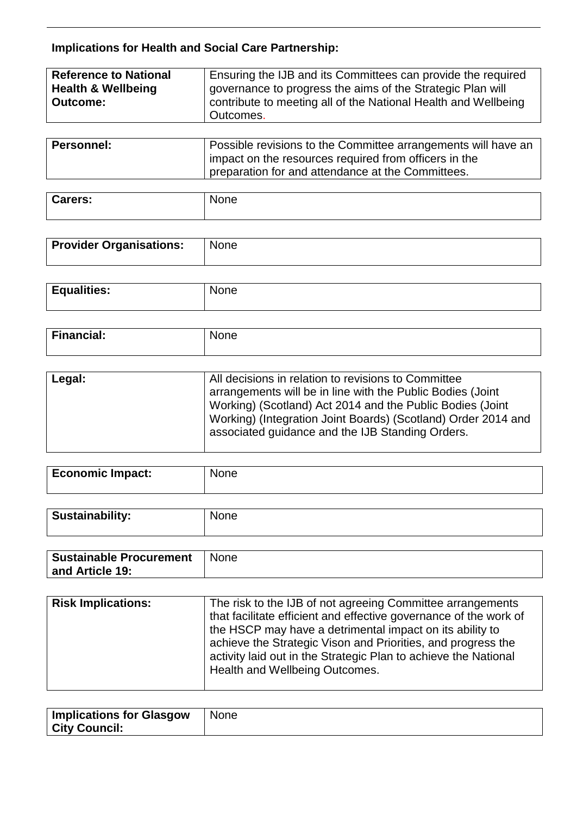### **Implications for Health and Social Care Partnership:**

| <b>Reference to National</b><br><b>Health &amp; Wellbeing</b> | Ensuring the IJB and its Committees can provide the required<br>governance to progress the aims of the Strategic Plan will |
|---------------------------------------------------------------|----------------------------------------------------------------------------------------------------------------------------|
| <b>Outcome:</b>                                               | contribute to meeting all of the National Health and Wellbeing<br>Outcomes.                                                |
|                                                               |                                                                                                                            |

| <b>Personnel:</b> | Possible revisions to the Committee arrangements will have an |
|-------------------|---------------------------------------------------------------|
|                   | impact on the resources required from officers in the         |
|                   | preparation for and attendance at the Committees.             |

| <b>Carers:</b> | None |
|----------------|------|
|                |      |

| <b>Provider Organisations:</b> | None |
|--------------------------------|------|
|                                |      |

| .<br>$E$ aua<br>r.<br>IGJ.<br>$\overline{\phantom{a}}$<br>$-$ - $\cdots$ - $\cdots$ - | `` |
|---------------------------------------------------------------------------------------|----|
|                                                                                       |    |

| <b>Financial:</b> | 1000<br>Nr.<br>ле<br>___ |
|-------------------|--------------------------|
|                   |                          |

| Legal: | All decisions in relation to revisions to Committee<br>arrangements will be in line with the Public Bodies (Joint<br>Working) (Scotland) Act 2014 and the Public Bodies (Joint<br>Working) (Integration Joint Boards) (Scotland) Order 2014 and<br>associated guidance and the IJB Standing Orders. |
|--------|-----------------------------------------------------------------------------------------------------------------------------------------------------------------------------------------------------------------------------------------------------------------------------------------------------|
|--------|-----------------------------------------------------------------------------------------------------------------------------------------------------------------------------------------------------------------------------------------------------------------------------------------------------|

| <b>Economic Impact:</b> | None |
|-------------------------|------|
|                         |      |

| Sustainability: | None |
|-----------------|------|
|                 |      |

| <b>Sustainable Procurement</b> | <b>None</b> |
|--------------------------------|-------------|
| and Article 19:                |             |

| <b>Risk Implications:</b><br>The risk to the IJB of not agreeing Committee arrangements<br>that facilitate efficient and effective governance of the work of<br>the HSCP may have a detrimental impact on its ability to<br>achieve the Strategic Vison and Priorities, and progress the<br>activity laid out in the Strategic Plan to achieve the National<br>Health and Wellbeing Outcomes. |  |
|-----------------------------------------------------------------------------------------------------------------------------------------------------------------------------------------------------------------------------------------------------------------------------------------------------------------------------------------------------------------------------------------------|--|
|-----------------------------------------------------------------------------------------------------------------------------------------------------------------------------------------------------------------------------------------------------------------------------------------------------------------------------------------------------------------------------------------------|--|

| <b>Implications for Glasgow</b> | I None |
|---------------------------------|--------|
| <b>City Council:</b>            |        |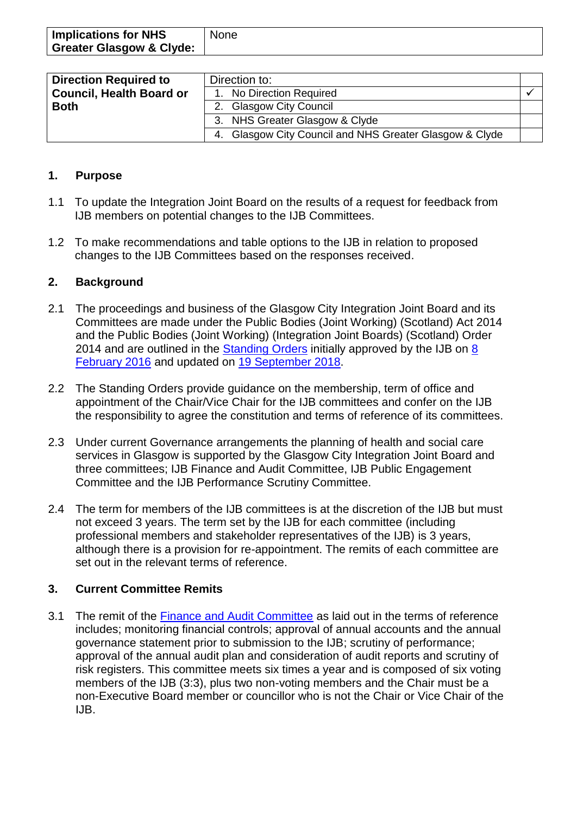| <b>Implications for NHS</b>         | <b>None</b> |
|-------------------------------------|-------------|
| <b>Greater Glasgow &amp; Clyde:</b> |             |

| <b>Direction Required to</b>    | Direction to:                                           |  |
|---------------------------------|---------------------------------------------------------|--|
| <b>Council, Health Board or</b> | 1. No Direction Required                                |  |
| <b>Both</b>                     | 2. Glasgow City Council                                 |  |
|                                 | 3. NHS Greater Glasgow & Clyde                          |  |
|                                 | 4. Glasgow City Council and NHS Greater Glasgow & Clyde |  |

#### **1. Purpose**

- 1.1 To update the Integration Joint Board on the results of a request for feedback from IJB members on potential changes to the IJB Committees.
- 1.2 To make recommendations and table options to the IJB in relation to proposed changes to the IJB Committees based on the responses received.

#### **2. Background**

- 2.1 The proceedings and business of the Glasgow City Integration Joint Board and its Committees are made under the Public Bodies (Joint Working) (Scotland) Act 2014 and the Public Bodies (Joint Working) (Integration Joint Boards) (Scotland) Order 2014 and are outlined in the [Standing Orders](https://glasgowcity.hscp.scot/publication/standing-orders-ijb) initially approved by the IJB on 8 [February 2016](https://glasgowcity.hscp.scot/sites/default/files/publications/IJB_Meeting_20160208_Item_7.pdf) and updated on [19 September 2018.](https://glasgowcity.hscp.scot/sites/default/files/publications/ITEM%20No%2017%20-%20IJB%20Membership%20and%20Update%20to%20Standing%20Orders.pdf)
- 2.2 The Standing Orders provide guidance on the membership, term of office and appointment of the Chair/Vice Chair for the IJB committees and confer on the IJB the responsibility to agree the constitution and terms of reference of its committees.
- 2.3 Under current Governance arrangements the planning of health and social care services in Glasgow is supported by the Glasgow City Integration Joint Board and three committees; IJB Finance and Audit Committee, IJB Public Engagement Committee and the IJB Performance Scrutiny Committee.
- 2.4 The term for members of the IJB committees is at the discretion of the IJB but must not exceed 3 years. The term set by the IJB for each committee (including professional members and stakeholder representatives of the IJB) is 3 years, although there is a provision for re-appointment. The remits of each committee are set out in the relevant terms of reference.

#### **3. Current Committee Remits**

3.1 The remit of the [Finance and Audit Committee](https://glasgowcity.hscp.scot/sites/default/files/publications/IJB%20Finance%20and%20Audit%20Committee%20Terms%20of%20Reference.pdf) as laid out in the terms of reference includes; monitoring financial controls; approval of annual accounts and the annual governance statement prior to submission to the IJB; scrutiny of performance; approval of the annual audit plan and consideration of audit reports and scrutiny of risk registers. This committee meets six times a year and is composed of six voting members of the IJB (3:3), plus two non-voting members and the Chair must be a non-Executive Board member or councillor who is not the Chair or Vice Chair of the IJB.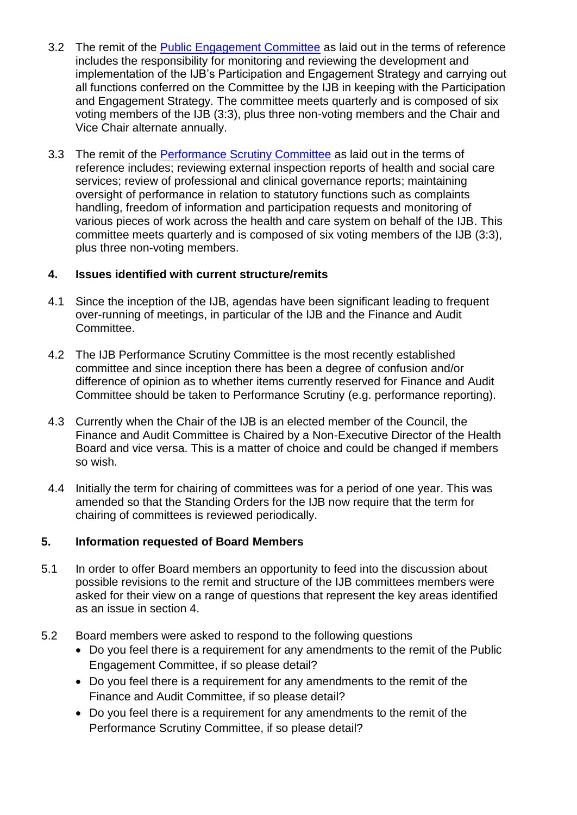- 3.2 The remit of the [Public Engagement Committee](https://glasgowcity.hscp.scot/sites/default/files/publications/IJB%20Public%20Engagement%20Committee%20Terms%20of%20Reference.pdf) as laid out in the terms of reference includes the responsibility for monitoring and reviewing the development and implementation of the IJB's Participation and Engagement Strategy and carrying out all functions conferred on the Committee by the IJB in keeping with the Participation and Engagement Strategy. The committee meets quarterly and is composed of six voting members of the IJB (3:3), plus three non-voting members and the Chair and Vice Chair alternate annually.
- 3.3 The remit of the [Performance Scrutiny Committee](https://glasgowcity.hscp.scot/sites/default/files/publications/IJB%20Performance%20Scrutiny%20Committee%20Terms%20of%20Reference.pdf) as laid out in the terms of reference includes; reviewing external inspection reports of health and social care services; review of professional and clinical governance reports; maintaining oversight of performance in relation to statutory functions such as complaints handling, freedom of information and participation requests and monitoring of various pieces of work across the health and care system on behalf of the IJB. This committee meets quarterly and is composed of six voting members of the IJB (3:3), plus three non-voting members.

#### **4. Issues identified with current structure/remits**

- 4.1 Since the inception of the IJB, agendas have been significant leading to frequent over-running of meetings, in particular of the IJB and the Finance and Audit Committee.
- 4.2 The IJB Performance Scrutiny Committee is the most recently established committee and since inception there has been a degree of confusion and/or difference of opinion as to whether items currently reserved for Finance and Audit Committee should be taken to Performance Scrutiny (e.g. performance reporting).
- 4.3 Currently when the Chair of the IJB is an elected member of the Council, the Finance and Audit Committee is Chaired by a Non-Executive Director of the Health Board and vice versa. This is a matter of choice and could be changed if members so wish.
- 4.4 Initially the term for chairing of committees was for a period of one year. This was amended so that the Standing Orders for the IJB now require that the term for chairing of committees is reviewed periodically.

#### **5. Information requested of Board Members**

- 5.1 In order to offer Board members an opportunity to feed into the discussion about possible revisions to the remit and structure of the IJB committees members were asked for their view on a range of questions that represent the key areas identified as an issue in section 4.
- 5.2 Board members were asked to respond to the following questions
	- Do you feel there is a requirement for any amendments to the remit of the Public Engagement Committee, if so please detail?
	- Do you feel there is a requirement for any amendments to the remit of the Finance and Audit Committee, if so please detail?
	- Do you feel there is a requirement for any amendments to the remit of the Performance Scrutiny Committee, if so please detail?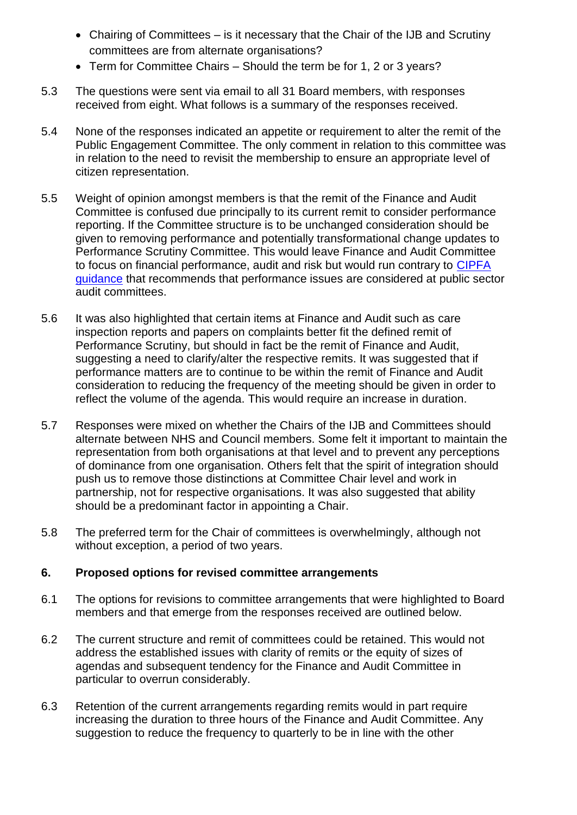- Chairing of Committees is it necessary that the Chair of the IJB and Scrutiny committees are from alternate organisations?
- Term for Committee Chairs Should the term be for 1, 2 or 3 years?
- 5.3 The questions were sent via email to all 31 Board members, with responses received from eight. What follows is a summary of the responses received.
- 5.4 None of the responses indicated an appetite or requirement to alter the remit of the Public Engagement Committee. The only comment in relation to this committee was in relation to the need to revisit the membership to ensure an appropriate level of citizen representation.
- 5.5 Weight of opinion amongst members is that the remit of the Finance and Audit Committee is confused due principally to its current remit to consider performance reporting. If the Committee structure is to be unchanged consideration should be given to removing performance and potentially transformational change updates to Performance Scrutiny Committee. This would leave Finance and Audit Committee to focus on financial performance, audit and risk but would run contrary to [CIPFA](https://www.cipfa.org/services/support-for-audit-committees)  [guidance](https://www.cipfa.org/services/support-for-audit-committees) that recommends that performance issues are considered at public sector audit committees.
- 5.6 It was also highlighted that certain items at Finance and Audit such as care inspection reports and papers on complaints better fit the defined remit of Performance Scrutiny, but should in fact be the remit of Finance and Audit, suggesting a need to clarify/alter the respective remits. It was suggested that if performance matters are to continue to be within the remit of Finance and Audit consideration to reducing the frequency of the meeting should be given in order to reflect the volume of the agenda. This would require an increase in duration.
- 5.7 Responses were mixed on whether the Chairs of the IJB and Committees should alternate between NHS and Council members. Some felt it important to maintain the representation from both organisations at that level and to prevent any perceptions of dominance from one organisation. Others felt that the spirit of integration should push us to remove those distinctions at Committee Chair level and work in partnership, not for respective organisations. It was also suggested that ability should be a predominant factor in appointing a Chair.
- 5.8 The preferred term for the Chair of committees is overwhelmingly, although not without exception, a period of two years.

#### **6. Proposed options for revised committee arrangements**

- 6.1 The options for revisions to committee arrangements that were highlighted to Board members and that emerge from the responses received are outlined below.
- 6.2 The current structure and remit of committees could be retained. This would not address the established issues with clarity of remits or the equity of sizes of agendas and subsequent tendency for the Finance and Audit Committee in particular to overrun considerably.
- 6.3 Retention of the current arrangements regarding remits would in part require increasing the duration to three hours of the Finance and Audit Committee. Any suggestion to reduce the frequency to quarterly to be in line with the other